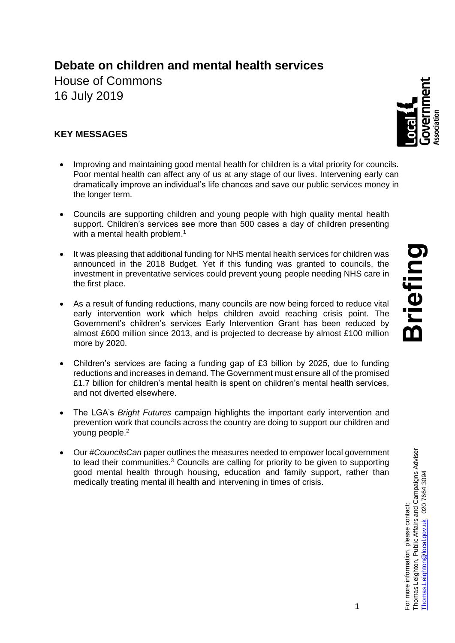# **Debate on children and mental health services**

House of Commons 16 July 2019

## **KEY MESSAGES**

- Improving and maintaining good mental health for children is a vital priority for councils. Poor mental health can affect any of us at any stage of our lives. Intervening early can dramatically improve an individual's life chances and save our public services money in the longer term.
- Councils are supporting children and young people with high quality mental health support. Children's services see more than 500 cases a day of children presenting with a mental health problem.<sup>1</sup>
- It was pleasing that additional funding for NHS mental health services for children was announced in the 2018 Budget. Yet if this funding was granted to councils, the investment in preventative services could prevent young people needing NHS care in the first place.
- As a result of funding reductions, many councils are now being forced to reduce vital early intervention work which helps children avoid reaching crisis point. The Government's children's services Early Intervention Grant has been reduced by almost £600 million since 2013, and is projected to decrease by almost £100 million more by 2020.
- Children's services are facing a funding gap of £3 billion by 2025, due to funding reductions and increases in demand. The Government must ensure all of the promised £1.7 billion for children's mental health is spent on children's mental health services, and not diverted elsewhere.
- The LGA's *Bright Futures* campaign highlights the important early intervention and prevention work that councils across the country are doing to support our children and young people.<sup>2</sup>
- Our *#CouncilsCan* paper outlines the measures needed to empower local government to lead their communities.<sup>3</sup> Councils are calling for priority to be given to supporting good mental health through housing, education and family support, rather than medically treating mental ill health and intervening in times of crisis.

Thomas.Leighton@local.gov.uk

02076643094

For more information, please contact:<br>Thomas Leighton, Public Affairs and Campaigns Adviser

1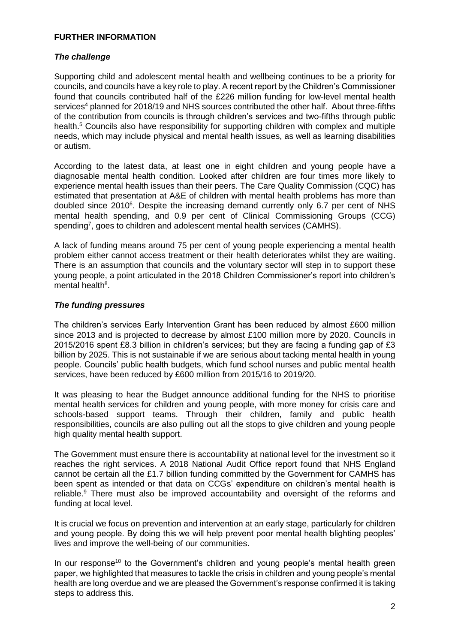#### **FURTHER INFORMATION**

#### *The challenge*

Supporting child and adolescent mental health and wellbeing continues to be a priority for councils, and councils have a key role to play. A recent report by the Children's Commissioner found that councils contributed half of the £226 million funding for low-level mental health services<sup>4</sup> planned for 2018/19 and NHS sources contributed the other half. About three-fifths of the contribution from councils is through children's services and two-fifths through public health.<sup>5</sup> Councils also have responsibility for supporting children with complex and multiple needs, which may include physical and mental health issues, as well as learning disabilities or autism.

According to the latest data, at least one in eight children and young people have a diagnosable mental health condition. Looked after children are four times more likely to experience mental health issues than their peers. The Care Quality Commission (CQC) has estimated that presentation at A&E of children with mental health problems has more than doubled since 2010<sup>6</sup>. Despite the increasing demand currently only 6.7 per cent of NHS mental health spending, and 0.9 per cent of Clinical Commissioning Groups (CCG) spending<sup>7</sup>, goes to children and adolescent mental health services (CAMHS).

A lack of funding means around 75 per cent of young people experiencing a mental health problem either cannot access treatment or their health deteriorates whilst they are waiting. There is an assumption that councils and the voluntary sector will step in to support these young people, a point articulated in the 2018 Children Commissioner's report into children's mental health<sup>8</sup>.

#### *The funding pressures*

The children's services Early Intervention Grant has been reduced by almost £600 million since 2013 and is projected to decrease by almost £100 million more by 2020. Councils in 2015/2016 spent £8.3 billion in children's services; but they are facing a funding gap of £3 billion by 2025. This is not sustainable if we are serious about tacking mental health in young people. Councils' public health budgets, which fund school nurses and public mental health services, have been reduced by £600 million from 2015/16 to 2019/20.

It was pleasing to hear the Budget announce additional funding for the NHS to prioritise mental health services for children and young people, with more money for crisis care and schools-based support teams. Through their children, family and public health responsibilities, councils are also pulling out all the stops to give children and young people high quality mental health support.

The Government must ensure there is accountability at national level for the investment so it reaches the right services. A 2018 National Audit Office report found that NHS England cannot be certain all the £1.7 billion funding committed by the Government for CAMHS has been spent as intended or that data on CCGs' expenditure on children's mental health is reliable.<sup>9</sup> There must also be improved accountability and oversight of the reforms and funding at local level.

It is crucial we focus on prevention and intervention at an early stage, particularly for children and young people. By doing this we will help prevent poor mental health blighting peoples' lives and improve the well-being of our communities.

In our response<sup>10</sup> to the Government's children and young people's mental health green paper, we highlighted that measures to tackle the crisis in children and young people's mental health are long overdue and we are pleased the Government's response confirmed it is taking steps to address this.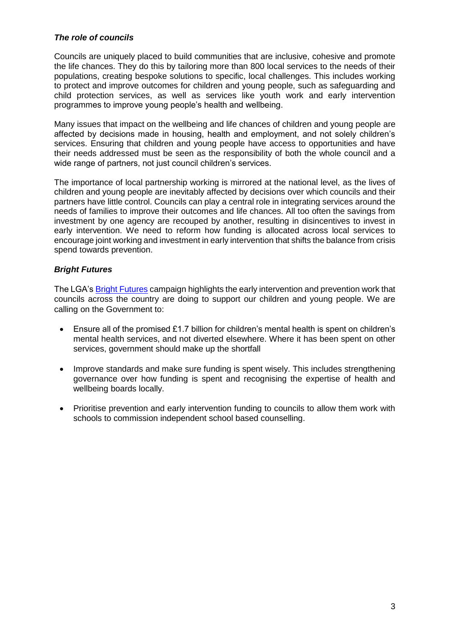#### *The role of councils*

Councils are uniquely placed to build communities that are inclusive, cohesive and promote the life chances. They do this by tailoring more than 800 local services to the needs of their populations, creating bespoke solutions to specific, local challenges. This includes working to protect and improve outcomes for children and young people, such as safeguarding and child protection services, as well as services like youth work and early intervention programmes to improve young people's health and wellbeing.

Many issues that impact on the wellbeing and life chances of children and young people are affected by decisions made in housing, health and employment, and not solely children's services. Ensuring that children and young people have access to opportunities and have their needs addressed must be seen as the responsibility of both the whole council and a wide range of partners, not just council children's services.

The importance of local partnership working is mirrored at the national level, as the lives of children and young people are inevitably affected by decisions over which councils and their partners have little control. Councils can play a central role in integrating services around the needs of families to improve their outcomes and life chances. All too often the savings from investment by one agency are recouped by another, resulting in disincentives to invest in early intervention. We need to reform how funding is allocated across local services to encourage joint working and investment in early intervention that shifts the balance from crisis spend towards prevention.

### *Bright Futures*

The LGA's [Bright Futures](http://www.local.gov.uk/bright-futures) campaign highlights the early intervention and prevention work that councils across the country are doing to support our children and young people. We are calling on the Government to:

- Ensure all of the promised £1.7 billion for children's mental health is spent on children's mental health services, and not diverted elsewhere. Where it has been spent on other services, government should make up the shortfall
- Improve standards and make sure funding is spent wisely. This includes strengthening governance over how funding is spent and recognising the expertise of health and wellbeing boards locally.
- Prioritise prevention and early intervention funding to councils to allow them work with schools to commission independent school based counselling.